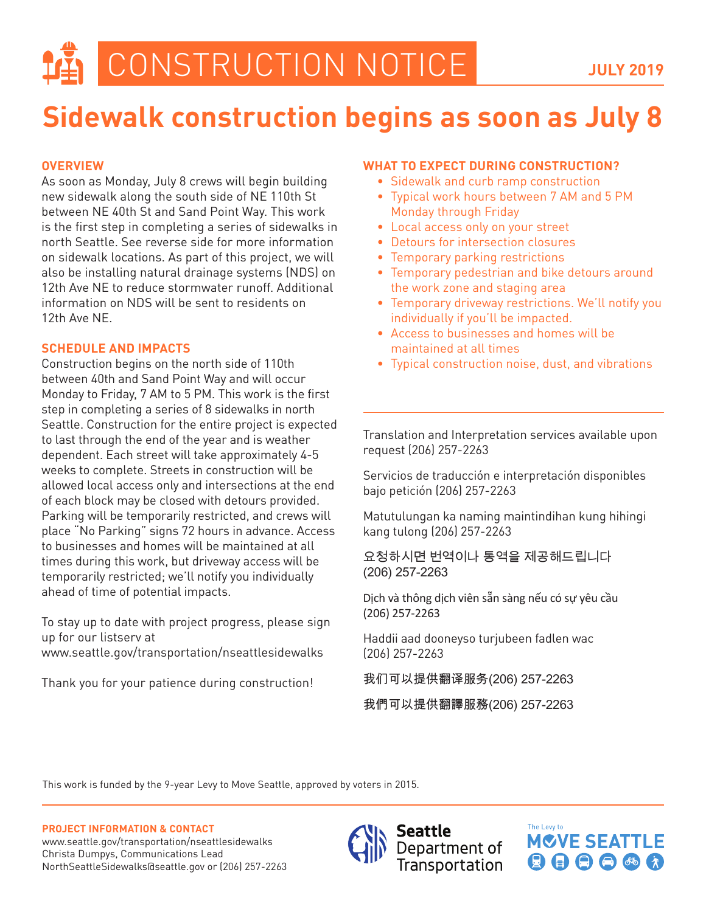## **Sidewalk construction begins as soon as July 8**

## **OVERVIEW**

As soon as Monday, July 8 crews will begin building new sidewalk along the south side of NE 110th St between NE 40th St and Sand Point Way. This work is the first step in completing a series of sidewalks in north Seattle. See reverse side for more information on sidewalk locations. As part of this project, we will also be installing natural drainage systems (NDS) on 12th Ave NE to reduce stormwater runoff. Additional information on NDS will be sent to residents on 12th Ave NE.

## **SCHEDULE AND IMPACTS**

Construction begins on the north side of 110th between 40th and Sand Point Way and will occur Monday to Friday, 7 AM to 5 PM. This work is the first step in completing a series of 8 sidewalks in north Seattle. Construction for the entire project is expected to last through the end of the year and is weather dependent. Each street will take approximately 4-5 weeks to complete. Streets in construction will be allowed local access only and intersections at the end of each block may be closed with detours provided. Parking will be temporarily restricted, and crews will place "No Parking" signs 72 hours in advance. Access to businesses and homes will be maintained at all times during this work, but driveway access will be temporarily restricted; we'll notify you individually ahead of time of potential impacts.

To stay up to date with project progress, please sign up for our listserv at www.seattle.gov/transportation/nseattlesidewalks

Thank you for your patience during construction!

## **WHAT TO EXPECT DURING CONSTRUCTION?**

- Sidewalk and curb ramp construction
- Typical work hours between 7 AM and 5 PM Monday through Friday
- Local access only on your street
- Detours for intersection closures
- Temporary parking restrictions
- Temporary pedestrian and bike detours around the work zone and staging area
- Temporary driveway restrictions. We'll notify you individually if you'll be impacted.
- Access to businesses and homes will be maintained at all times
- Typical construction noise, dust, and vibrations

Translation and Interpretation services available upon request (206) 257-2263

Servicios de traducción e interpretación disponibles bajo petición (206) 257-2263

Matutulungan ka naming maintindihan kung hihingi kang tulong (206) 257-2263

요청하시면 번역이나 통역을 제공해드립니다 (206) 257-2263

Dịch và thông dịch viên sẵn sàng nếu có sự yêu cầu (206) 257-2263

Haddii aad dooneyso turjubeen fadlen wac (206) 257-2263

我们可以提供翻译服务(206) 257-2263

我們可以提供翻譯服務(206) 257-2263

This work is funded by the 9-year Levy to Move Seattle, approved by voters in 2015.

**PROJECT INFORMATION & CONTACT**

www.seattle.gov/transportation/nseattlesidewalks Christa Dumpys, Communications Lead NorthSeattleSidewalks@seattle.gov or (206) 257-2263



Seattle Department of Transportation